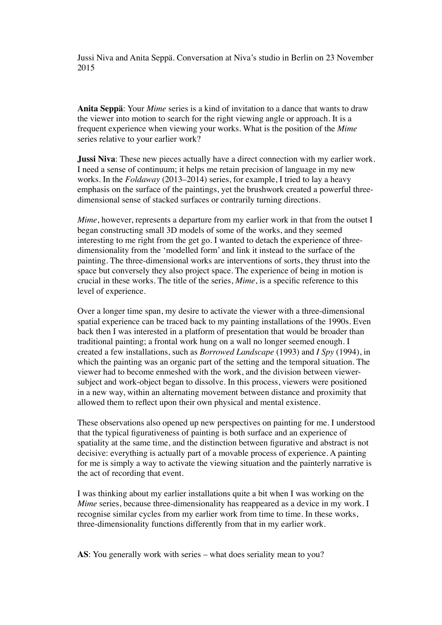Jussi Niva and Anita Seppä. Conversation at Niva's studio in Berlin on 23 November 2015

**Anita Seppä**: Your *Mime* series is a kind of invitation to a dance that wants to draw the viewer into motion to search for the right viewing angle or approach. It is a frequent experience when viewing your works. What is the position of the *Mime* series relative to your earlier work?

**Jussi Niva**: These new pieces actually have a direct connection with my earlier work. I need a sense of continuum; it helps me retain precision of language in my new works. In the *Foldaway* (2013–2014) series, for example, I tried to lay a heavy emphasis on the surface of the paintings, yet the brushwork created a powerful threedimensional sense of stacked surfaces or contrarily turning directions.

*Mime*, however, represents a departure from my earlier work in that from the outset I began constructing small 3D models of some of the works, and they seemed interesting to me right from the get go. I wanted to detach the experience of threedimensionality from the 'modelled form' and link it instead to the surface of the painting. The three-dimensional works are interventions of sorts, they thrust into the space but conversely they also project space. The experience of being in motion is crucial in these works. The title of the series, *Mime*, is a specific reference to this level of experience.

Over a longer time span, my desire to activate the viewer with a three-dimensional spatial experience can be traced back to my painting installations of the 1990s. Even back then I was interested in a platform of presentation that would be broader than traditional painting; a frontal work hung on a wall no longer seemed enough. I created a few installations, such as *Borrowed Landscape* (1993) and *I Spy* (1994), in which the painting was an organic part of the setting and the temporal situation. The viewer had to become enmeshed with the work, and the division between viewersubject and work-object began to dissolve. In this process, viewers were positioned in a new way, within an alternating movement between distance and proximity that allowed them to reflect upon their own physical and mental existence.

These observations also opened up new perspectives on painting for me. I understood that the typical figurativeness of painting is both surface and an experience of spatiality at the same time, and the distinction between figurative and abstract is not decisive: everything is actually part of a movable process of experience. A painting for me is simply a way to activate the viewing situation and the painterly narrative is the act of recording that event.

I was thinking about my earlier installations quite a bit when I was working on the *Mime* series, because three-dimensionality has reappeared as a device in my work. I recognise similar cycles from my earlier work from time to time. In these works, three-dimensionality functions differently from that in my earlier work.

AS: You generally work with series – what does seriality mean to you?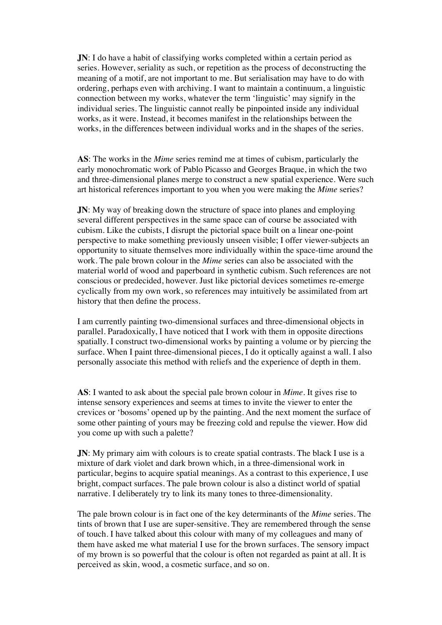**JN**: I do have a habit of classifying works completed within a certain period as series. However, seriality as such, or repetition as the process of deconstructing the meaning of a motif, are not important to me. But serialisation may have to do with ordering, perhaps even with archiving. I want to maintain a continuum, a linguistic connection between my works, whatever the term 'linguistic' may signify in the individual series. The linguistic cannot really be pinpointed inside any individual works, as it were. Instead, it becomes manifest in the relationships between the works, in the differences between individual works and in the shapes of the series.

**AS**: The works in the *Mime* series remind me at times of cubism, particularly the early monochromatic work of Pablo Picasso and Georges Braque, in which the two and three-dimensional planes merge to construct a new spatial experience. Were such art historical references important to you when you were making the *Mime* series?

**JN**: My way of breaking down the structure of space into planes and employing several different perspectives in the same space can of course be associated with cubism. Like the cubists, I disrupt the pictorial space built on a linear one-point perspective to make something previously unseen visible; I offer viewer-subjects an opportunity to situate themselves more individually within the space-time around the work. The pale brown colour in the *Mime* series can also be associated with the material world of wood and paperboard in synthetic cubism. Such references are not conscious or predecided, however. Just like pictorial devices sometimes re-emerge cyclically from my own work, so references may intuitively be assimilated from art history that then define the process.

I am currently painting two-dimensional surfaces and three-dimensional objects in parallel. Paradoxically, I have noticed that I work with them in opposite directions spatially. I construct two-dimensional works by painting a volume or by piercing the surface. When I paint three-dimensional pieces, I do it optically against a wall. I also personally associate this method with reliefs and the experience of depth in them.

**AS**: I wanted to ask about the special pale brown colour in *Mime*. It gives rise to intense sensory experiences and seems at times to invite the viewer to enter the crevices or 'bosoms' opened up by the painting. And the next moment the surface of some other painting of yours may be freezing cold and repulse the viewer. How did you come up with such a palette?

**JN**: My primary aim with colours is to create spatial contrasts. The black I use is a mixture of dark violet and dark brown which, in a three-dimensional work in particular, begins to acquire spatial meanings. As a contrast to this experience, I use bright, compact surfaces. The pale brown colour is also a distinct world of spatial narrative. I deliberately try to link its many tones to three-dimensionality.

The pale brown colour is in fact one of the key determinants of the *Mime* series. The tints of brown that I use are super-sensitive. They are remembered through the sense of touch. I have talked about this colour with many of my colleagues and many of them have asked me what material I use for the brown surfaces. The sensory impact of my brown is so powerful that the colour is often not regarded as paint at all. It is perceived as skin, wood, a cosmetic surface, and so on.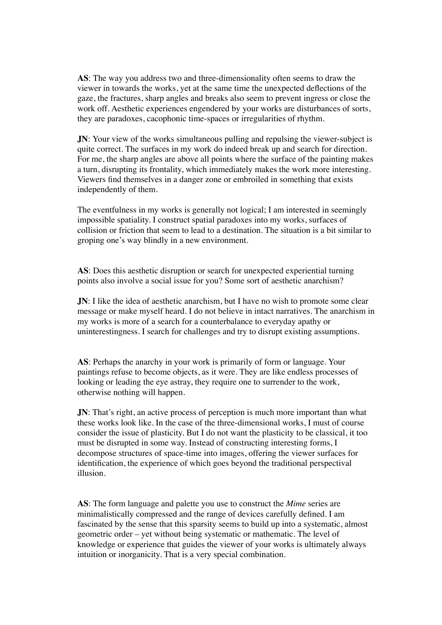**AS**: The way you address two and three-dimensionality often seems to draw the viewer in towards the works, yet at the same time the unexpected deflections of the gaze, the fractures, sharp angles and breaks also seem to prevent ingress or close the work off. Aesthetic experiences engendered by your works are disturbances of sorts, they are paradoxes, cacophonic time-spaces or irregularities of rhythm.

**JN:** Your view of the works simultaneous pulling and repulsing the viewer-subject is quite correct. The surfaces in my work do indeed break up and search for direction. For me, the sharp angles are above all points where the surface of the painting makes a turn, disrupting its frontality, which immediately makes the work more interesting. Viewers find themselves in a danger zone or embroiled in something that exists independently of them.

The eventfulness in my works is generally not logical; I am interested in seemingly impossible spatiality. I construct spatial paradoxes into my works, surfaces of collision or friction that seem to lead to a destination. The situation is a bit similar to groping one's way blindly in a new environment.

**AS**: Does this aesthetic disruption or search for unexpected experiential turning points also involve a social issue for you? Some sort of aesthetic anarchism?

**JN**: I like the idea of aesthetic anarchism, but I have no wish to promote some clear message or make myself heard. I do not believe in intact narratives. The anarchism in my works is more of a search for a counterbalance to everyday apathy or uninterestingness. I search for challenges and try to disrupt existing assumptions.

**AS**: Perhaps the anarchy in your work is primarily of form or language. Your paintings refuse to become objects, as it were. They are like endless processes of looking or leading the eye astray, they require one to surrender to the work, otherwise nothing will happen.

**JN**: That's right, an active process of perception is much more important than what these works look like. In the case of the three-dimensional works, I must of course consider the issue of plasticity. But I do not want the plasticity to be classical, it too must be disrupted in some way. Instead of constructing interesting forms, I decompose structures of space-time into images, offering the viewer surfaces for identification, the experience of which goes beyond the traditional perspectival illusion.

**AS**: The form language and palette you use to construct the *Mime* series are minimalistically compressed and the range of devices carefully defined. I am fascinated by the sense that this sparsity seems to build up into a systematic, almost geometric order – yet without being systematic or mathematic. The level of knowledge or experience that guides the viewer of your works is ultimately always intuition or inorganicity. That is a very special combination.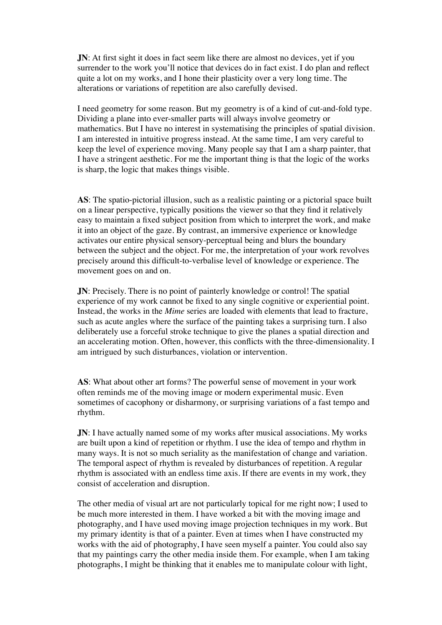**JN**: At first sight it does in fact seem like there are almost no devices, yet if you surrender to the work you'll notice that devices do in fact exist. I do plan and reflect quite a lot on my works, and I hone their plasticity over a very long time. The alterations or variations of repetition are also carefully devised.

I need geometry for some reason. But my geometry is of a kind of cut-and-fold type. Dividing a plane into ever-smaller parts will always involve geometry or mathematics. But I have no interest in systematising the principles of spatial division. I am interested in intuitive progress instead. At the same time, I am very careful to keep the level of experience moving. Many people say that I am a sharp painter, that I have a stringent aesthetic. For me the important thing is that the logic of the works is sharp, the logic that makes things visible.

**AS**: The spatio-pictorial illusion, such as a realistic painting or a pictorial space built on a linear perspective, typically positions the viewer so that they find it relatively easy to maintain a fixed subject position from which to interpret the work, and make it into an object of the gaze. By contrast, an immersive experience or knowledge activates our entire physical sensory-perceptual being and blurs the boundary between the subject and the object. For me, the interpretation of your work revolves precisely around this difficult-to-verbalise level of knowledge or experience. The movement goes on and on.

**JN**: Precisely. There is no point of painterly knowledge or control! The spatial experience of my work cannot be fixed to any single cognitive or experiential point. Instead, the works in the *Mime* series are loaded with elements that lead to fracture, such as acute angles where the surface of the painting takes a surprising turn. I also deliberately use a forceful stroke technique to give the planes a spatial direction and an accelerating motion. Often, however, this conflicts with the three-dimensionality. I am intrigued by such disturbances, violation or intervention.

**AS**: What about other art forms? The powerful sense of movement in your work often reminds me of the moving image or modern experimental music. Even sometimes of cacophony or disharmony, or surprising variations of a fast tempo and rhythm.

**JN**: I have actually named some of my works after musical associations. My works are built upon a kind of repetition or rhythm. I use the idea of tempo and rhythm in many ways. It is not so much seriality as the manifestation of change and variation. The temporal aspect of rhythm is revealed by disturbances of repetition. A regular rhythm is associated with an endless time axis. If there are events in my work, they consist of acceleration and disruption.

The other media of visual art are not particularly topical for me right now; I used to be much more interested in them. I have worked a bit with the moving image and photography, and I have used moving image projection techniques in my work. But my primary identity is that of a painter. Even at times when I have constructed my works with the aid of photography, I have seen myself a painter. You could also say that my paintings carry the other media inside them. For example, when I am taking photographs, I might be thinking that it enables me to manipulate colour with light,